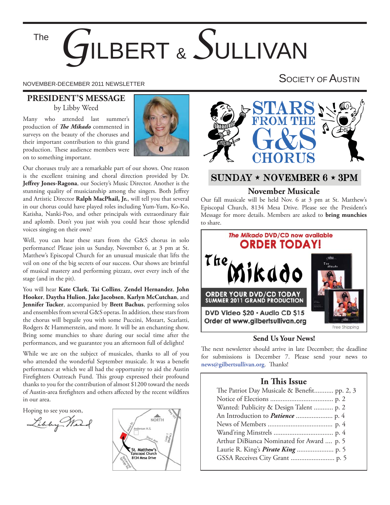The

# *G*ILBERT & *S*ULLIVAN

# NOVEMBER-DECEMBER 2011 NEWSLETTER SOCIETY OF AUSTIN

#### **PRESIDENT'S MESSAGE** by Libby Weed

Many who attended last summer's production of *The Mikado* commented in surveys on the beauty of the choruses and their important contribution to this grand production. These audience members were on to something important.



Our choruses truly are a remarkable part of our shows. One reason is the excellent training and choral direction provided by Dr. Jeffrey Jones-Ragona, our Society's Music Director. Another is the stunning quality of musicianship among the singers. Both Jeffrey and Artistic Director **Ralph MacPhail, Jr.**, will tell you that several in our chorus could have played roles including Yum-Yum, Ko-Ko, Katisha, Nanki-Poo, and other principals with extraordinary flair and aplomb. Don't you just wish you could hear those splendid voices singing on their own?

Well, you can hear these stars from the G&S chorus in solo performance! Please join us Sunday, November 6, at 3 pm at St. Matthew's Episcopal Church for an unusual musicale that lifts the veil on one of the big secrets of our success. Our shows are brimful of musical mastery and performing pizzazz, over every inch of the stage (and in the pit).

You will hear **Kate Clark**, **Tai Collins**, **Zendel Hernandez**, **John Hooker**, **Daytha Hulion**, **Jake Jacobsen**, **Karlyn McCutchan**, and **Jennifer Tucker**, accompanied by **Brett Bachus**, performing solos and ensembles from several G&S operas. In addition, these stars from the chorus will beguile you with some Puccini, Mozart, Scarlatti, Rodgers & Hammerstein, and more. It will be an enchanting show. Bring some munchies to share during our social time after the performances, and we guarantee you an afternoon full of delights!

While we are on the subject of musicales, thanks to all of you who attended the wonderful September musicale. It was a benefit performance at which we all had the opportunity to aid the Austin Firefighters Outreach Fund. This group expressed their profound thanks to you for the contribution of almost \$1200 toward the needs of Austin-area firefighters and others affected by the recent wildfires in our area.

Hoping to see you soon,

Libby Mart





# SUNDAY \* NOVEMBER  $6 \star 3PM$

#### **November Musicale**

Our fall musicale will be held Nov. 6 at 3 pm at St. Matthew's Episcopal Church, 8134 Mesa Drive. Please see the President's Message for more details. Members are asked to **bring munchies** to share.



#### **Send Us Your News!**

The next newsletter should arrive in late December; the deadline for submissions is December 7. Please send your news to  $news@gilbertsullivan.org.$  Thanks!

#### **In This Issue**

| The Patriot Day Musicale & Benefit pp. 2, 3 |
|---------------------------------------------|
|                                             |
| Wanted: Publicity & Design Talent  p. 2     |
|                                             |
|                                             |
|                                             |
| Arthur DiBianca Nominated for Award  p. 5   |
|                                             |
|                                             |
|                                             |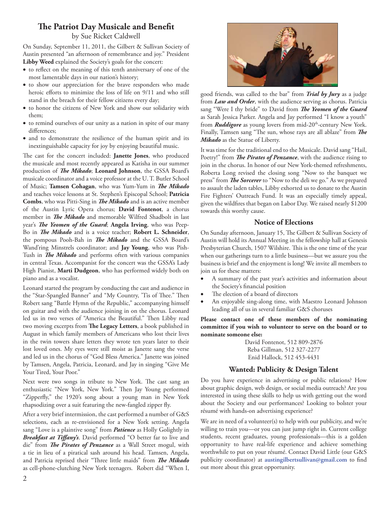#### **The Patriot Day Musicale and Benefit**

by Sue Ricket Caldwell

On Sunday, September 11, 2011, the Gilbert & Sullivan Society of Austin presented "an afternoon of remembrance and joy." President **Libby Weed** explained the Society's goals for the concert:

- $\bullet$  to reflect on the meaning of this tenth anniversary of one of the most lamentable days in our nation's history;
- to show our appreciation for the brave responders who made heroic efforts to minimize the loss of life on 9/11 and who still stand in the breach for their fellow citizens every day;
- to honor the citizens of New York and show our solidarity with them;
- to remind ourselves of our unity as a nation in spite of our many differences;
- and to demonstrate the resilience of the human spirit and its inextinguishable capacity for joy by enjoying beautiful music.

The cast for the concert included: **Janette Jones**, who produced the musicale and most recently appeared as Katisha in our summer production of *The Mikado*; Leonard Johnson, the GSSA Board's musicale coordinator and a voice professor at the U. T. Butler School of Music; Tamsen Cohagan, who was Yum-Yum in *The Mikado* and teaches voice lessons at St. Stephen's Episcopal School; **Patricia Combs**, who was Pitti-Sing in *The Mikado* and is an active member of the Austin Lyric Opera chorus; **David Fontenot**, a chorus member in *The Mikado* and memorable Wilfred Shadbolt in last year's *The Yeomen of the Guard*; Angela Irving, who was Peep-Bo in *The Mikado* and is a voice teacher; Robert L. Schneider, the pompous Pooh-Bah in *The Mikado* and the GSSA Board's Wand'ring Minstrels coordinator; and **Jay Young**, who was Pish-Tush in *The Mikado* and performs often with various companies in central Texas. Accompanist for the concert was the GSSA's Lady High Pianist, **Marti Dudgeon**, who has performed widely both on piano and as a vocalist.

Leonard started the program by conducting the cast and audience in the "Star-Spangled Banner" and "My Country, 'Tis of Thee." Then Robert sang "Battle Hymn of the Republic," accompanying himself on guitar and with the audience joining in on the chorus. Leonard led us in two verses of "America the Beautiful." Then Libby read two moving excerpts from The Legacy Letters, a book published in August in which family members of Americans who lost their lives in the twin towers share letters they wrote ten years later to their lost loved ones. My eyes were still moist as Janette sang the verse and led us in the chorus of "God Bless America." Janette was joined by Tamsen, Angela, Patricia, Leonard, and Jay in singing "Give Me Your Tired, Your Poor."

Next were two songs in tribute to New York. The cast sang an enthusiastic "New York, New York." Then Jay Young performed "Zipperfly," the 1920's song about a young man in New York rhapsodizing over a suit featuring the new-fangled zipper fly.

After a very brief intermission, the cast performed a number of G&S selections, each as re-envisioned for a New York setting. Angela sang "Love is a plaintive song" from *Patience* as Holly Golightly in Breakfast at Tiffany's. David performed "O better far to live and die" from *The Pirates of Penzance* as a Wall Street mogul, with a tie in lieu of a piratical sash around his head. Tamsen, Angela, and Patricia reprised their "Three little maids" from *The Mikado* as cell-phone-clutching New York teenagers. Robert did "When I,



good friends, was called to the bar" from *Trial by Jury* as a judge from *Law and Order*, with the audience serving as chorus. Patricia sang "Were I thy bride" to David from *The Yeomen of the Guard* as Sarah Jessica Parker. Angela and Jay performed "I know a youth" from *Ruddigore* as young lovers from mid-20<sup>th</sup>-century New York. Finally, Tamsen sang "The sun, whose rays are all ablaze" from The *Mikado* as the Statue of Liberty.

It was time for the traditional end to the Musicale. David sang "Hail, Poetry!" from *The Pirates of Penzance*, with the audience rising to join in the chorus. In honor of our New York-themed refreshments, Roberta Long revised the closing song "Now to the banquet we press" from *The Sorcerer* to "Now to the deli we go." As we prepared to assault the laden tables, Libby exhorted us to donate to the Austin Fire Fighters' Outreach Fund. It was an especially timely appeal, given the wildfires that began on Labor Day. We raised nearly \$1200 towards this worthy cause.

#### **Notice of Elections**

On Sunday afternoon, January 15, The Gilbert & Sullivan Society of Austin will hold its Annual Meeting in the fellowship hall at Genesis Presbyterian Church, 1507 Wilshire. This is the one time of the year when our gatherings turn to a little business—but we assure you the business is brief and the enjoyment is long! We invite all members to join us for these matters:

- A summary of the past year's activities and information about the Society's financial position
- The election of a board of directors
- An enjoyable sing-along time, with Maestro Leonard Johnson leading all of us in several familiar G&S choruses

**Please contact one of these members of the nominating committee if you wish to volunteer to serve on the board or to nominate someone else:**

> David Fontenot, 512 809-2876 Reba Gillman, 512 327-2277 Enid Hallock, 512 453-4431

#### **Wanted: Publicity & Design Talent**

Do you have experience in advertising or public relations? How about graphic design, web design, or social media outreach? Are you interested in using these skills to help us with getting out the word about the Society and our performances? Looking to bolster your résumé with hands-on advertising experience?

We are in need of a volunteer(s) to help with our publicity, and we're willing to train you—or you can just jump right in. Current college students, recent graduates, young professionals—this is a golden opportunity to have real-life experience and achieve something worthwhile to put on your résumé. Contact David Little (our G&S publicity coordinator) at *austingilbertsullivan@gmail.com* to find out more about this great opportunity.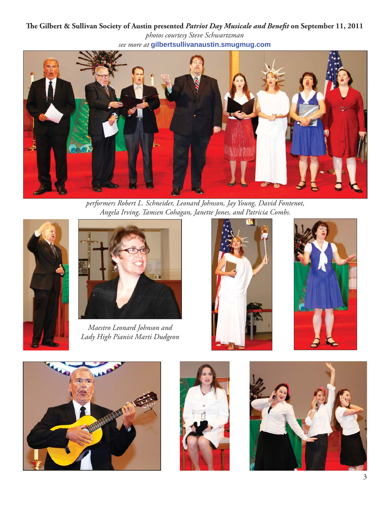The Gilbert & Sullivan Society of Austin presented Patriot Day Musicale and Benefit on September 11, 2011 *photos courtesy Steve Schwartzman see more at* **gilbertsullivanaustin.smugmug.com**



*performers Robert L. Schneider, Leonard Johnson, Jay Young, David Fontenot, Angela Irving, Tamsen Cohagan, Janette Jones, and Patricia Combs.*





*Maestro Leonard Johnson and Lady High Pianist Marti Dudgeon*









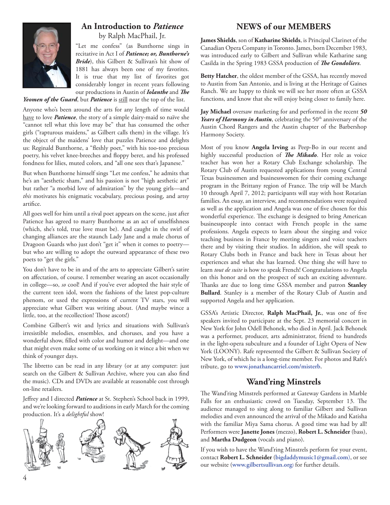

#### **An Introduction to** *Patience* by Ralph MacPhail, Jr.

"Let me confess" (as Bunthorne sings in recitative in Act I of *Patience; or, Bunthorne's Bride*), this Gilbert & Sullivan's hit show of 1881 has always been one of my favorites. It is true that my list of favorites got considerably longer in recent years following our productions in Austin of *Iolanthe* and *The* 

Yeomen of the Guard, but Patience is still near the top of the list.

Anyone who's been around the arts for any length of time would have to love *Patience*, the story of a simple dairy-maid so naïve she "cannot tell what this love may be" that has consumed the other girls ("rapturous maidens," as Gilbert calls them) in the village. It's the object of the maidens' love that puzzles Patience and delights us: Reginald Bunthorne, a "fleshly poet," with his too-too precious poetry, his velvet knee-breeches and floppy beret, and his professed fondness for lilies, muted colors, and "all one sees that's Japanese."

But when Bunthorne himself sings "Let me confess," he admits that he's an "aesthetic sham," and his passion is not "high aesthetic art" but rather "a morbid love of admiration" by the young girls—and *this* motivates his enigmatic vocabulary, precious posing, and artsy artifice.

All goes well for him until a rival poet appears on the scene, just after Patience has agreed to marry Bunthorne as an act of unselfishness (which, she's told, true love must be). And caught in the swirl of changing alliances are the staunch Lady Jane and a male chorus of Dragoon Guards who just don't "get it" when it comes to poetry but who are willing to adopt the outward appearance of these two poets to "get the girls."

You don't have to be in and of the arts to appreciate Gilbert's satire on affectation, of course. I remember wearing an ascot occasionally in college—so, *so* cool! And if you've ever adopted the hair style of the current teen idol, worn the fashions of the latest pop-culture phenom, or used the expressions of current TV stars, you will appreciate what Gilbert was writing about. (And maybe wince a little, too, at the recollection! Those ascots!)

Combine Gilbert's wit and lyrics and situations with Sullivan's irresistible melodies, ensembles, and choruses, and you have a wonderful show, filled with color and humor and delight-and one that might even make some of us working on it wince a bit when we think of younger days.

The libretto can be read in any library (or at any computer: just search on the Gilbert & Sullivan Archive, where you can also find the music). CDs and DVDs are available at reasonable cost through on-line retailers.

Jeffrey and I directed *Patience* at St. Stephen's School back in 1999, and we're looking forward to auditions in early March for the coming production. It's a *delightful* show!



# **NEWS of our MEMBERS**

**James Shields**, son of **Katharine Shields**, is Principal Clarinet of the Canadian Opera Company in Toronto. James, born December 1983, was introduced early to Gilbert and Sullivan while Katharine sang Casilda in the Spring 1983 GSSA production of *The Gondoliers*.

**Betty Hatcher**, the oldest member of the GSSA, has recently moved to Austin from San Antonio, and is living at the Heritage of Gaines Ranch. We are happy to think we will see her more often at GSSA functions, and know that she will enjoy being closer to family here.

**Jay Michael** oversaw marketing for and performed in the recent *50*  Years of Harmony in Austin, celebrating the 50<sup>th</sup> anniversary of the Austin Chord Rangers and the Austin chapter of the Barbershop Harmony Society.

Most of you know **Angela Irving** as Peep-Bo in our recent and highly successful production of *The Mikado*. Her role as voice teacher has won her a Rotary Club Exchange scholarship. The Rotary Club of Austin requested applications from young Central Texas businessmen and businesswomen for their coming exchange program in the Brittany region of France. The trip will be March 10 through April 7, 2012; participants will stay with host Rotarian families. An essay, an interview, and recommendations were required as well as the application and Angela was one of five chosen for this wonderful experience. The exchange is designed to bring American businesspeople into contact with French people in the same professions. Angela expects to learn about the singing and voice teaching business in France by meeting singers and voice teachers there and by visiting their studios. In addition, she will speak to Rotary Clubs both in France and back here in Texas about her experiences and what she has learned. One thing she will have to learn *tout de suite* is how to speak French! Congratulations to Angela on this honor and on the prospect of such an exciting adventure. Thanks are due to long time GSSA member and patron **Stanley Bullard**. Stanley is a member of the Rotary Club of Austin and supported Angela and her application.

GSSA's Artistic Director, Ralph MacPhail, Jr., was one of five speakers invited to participate at the Sept. 23 memorial concert in New York for John Odell Behonek, who died in April. Jack Behonek was a performer, producer, arts administrator, friend to hundreds in the light-opera subculture and a founder of Light Opera of New York (LOONY). Rafe represented the Gilbert & Sullivan Society of New York, of which he is a long-time member. For photos and Rafe's tribute, go to **www.jonathancarriel.com/misterb**.

# **Wand'ring Minstrels**

The Wand'ring Minstrels performed at Gateway Gardens in Marble Falls for an enthusiastic crowd on Tuesday, September 13. The audience managed to sing along to familiar Gilbert and Sullivan melodies and even announced the arrival of the Mikado and Katisha with the familiar Miya Sama chorus. A good time was had by all! Performers were **Janette Jones** (mezzo), **Robert L. Schneider** (bass), and **Martha Dudgeon** (vocals and piano).

If you wish to have the Wand'ring Minstrels perform for your event, contact **Robert L. Schneider** (**bigdaddymusic1@gmail.com**), or see our website (**www.gilbertsullivan.org**) for further details.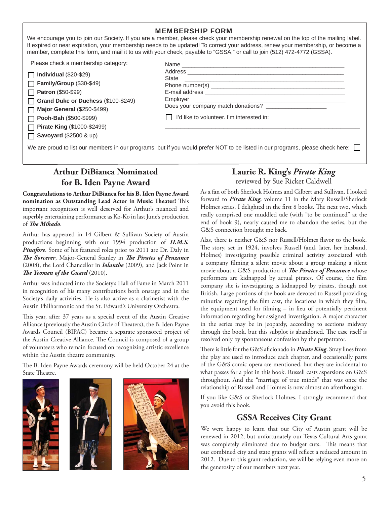We encourage you to join our Society. If you are a member, please check your membership renewal on the top of the mailing label. If expired or near expiration, your membership needs to be updated! To correct your address, renew your membership, or become a member, complete this form, and mail it to us with your check, payable to "GSSA," or call to join (512) 472-4772 (GSSA).

Please check a membership category:

**Individual** (\$20-\$29) **Family/Group** (\$30-\$49)

**Patron** (\$50-\$99)

**Grand Duke or Duchess** (\$100-\$249)  $\Box$ 

**Major General** (\$250-\$499) П **Pooh-Bah** (\$500-\$999) П

**Pirate King** (\$1000-\$2499)

**Savoyard** (\$2500 & up) П

| State<br><u> 1980 - Jan James Sammer, margaret eta idazlear (h. 1980).</u> |  |
|----------------------------------------------------------------------------|--|
|                                                                            |  |
|                                                                            |  |
|                                                                            |  |
| Does your company match donations?                                         |  |
| I'd like to volunteer. I'm interested in:                                  |  |
|                                                                            |  |

We are proud to list our members in our programs, but if you would prefer NOT to be listed in our programs, please check here:

# **Arthur DiBianca Nominated for B. Iden Payne Award**

**Congratulations to Arthur DiBianca for his B. Iden Payne Award nomination as Outstanding Lead Actor in Music Theater!** This important recognition is well deserved for Arthur's nuanced and superbly entertaining performance as Ko-Ko in last June's production of *The Mikado*.

Arthur has appeared in 14 Gilbert & Sullivan Society of Austin productions beginning with our 1994 production of *H.M.S. Pinafore*. Some of his featured roles prior to 2011 are Dr. Daly in **The Sorcerer**, Major-General Stanley in *The Pirates of Penzance* (2008), the Lord Chancellor in *Iolanthe* (2009), and Jack Point in **The Yeomen of the Guard** (2010).

Arthur was inducted into the Society's Hall of Fame in March 2011 in recognition of his many contributions both onstage and in the Society's daily activities. He is also active as a clarinetist with the Austin Philharmonic and the St. Edward's University Orchestra.

This year, after 37 years as a special event of the Austin Creative Alliance (previously the Austin Circle of Theaters), the B. Iden Payne Awards Council (BIPAC) became a separate sponsored project of the Austin Creative Alliance. The Council is composed of a group of volunteers who remain focused on recognizing artistic excellence within the Austin theatre community.

The B. Iden Payne Awards ceremony will be held October 24 at the State Theatre.







# **Laurie R. King's** *Pirate King*

reviewed by Sue Ricket Caldwell

As a fan of both Sherlock Holmes and Gilbert and Sullivan, I looked forward to *Pirate King*, volume 11 in the Mary Russell/Sherlock Holmes series. I delighted in the first 8 books. The next two, which really comprised one muddled tale (with "to be continued" at the end of book 9), nearly caused me to abandon the series, but the G&S connection brought me back.

Alas, there is neither G&S nor Russell/Holmes flavor to the book. The story, set in 1924, involves Russell (and, later, her husband, Holmes) investigating possible criminal activity associated with a company filming a silent movie about a group making a silent movie about a G&S production of *The Pirates of Penzance* whose performers are kidnapped by actual pirates. Of course, the film company she is investigating is kidnapped by pirates, though not British. Large portions of the book are devoted to Russell providing minutiae regarding the film cast, the locations in which they film, the equipment used for filming  $-$  in lieu of potentially pertinent information regarding her assigned investigation. A major character in the series may be in jeopardy, according to sections midway through the book, but this subplot is abandoned. The case itself is resolved only by spontaneous confession by the perpetrator.

There is little for the G&S aficionado in *Pirate King*. Stray lines from the play are used to introduce each chapter, and occasionally parts of the G&S comic opera are mentioned, but they are incidental to what passes for a plot in this book. Russell casts aspersions on G&S throughout. And the "marriage of true minds" that was once the relationship of Russell and Holmes is now almost an afterthought.

If you like G&S or Sherlock Holmes, I strongly recommend that you avoid this book.

#### **GSSA Receives City Grant**

We were happy to learn that our City of Austin grant will be renewed in 2012, but unfortunately our Texas Cultural Arts grant was completely eliminated due to budget cuts. This means that our combined city and state grants will reflect a reduced amount in 2012. Due to this grant reduction, we will be relying even more on the generosity of our members next year.